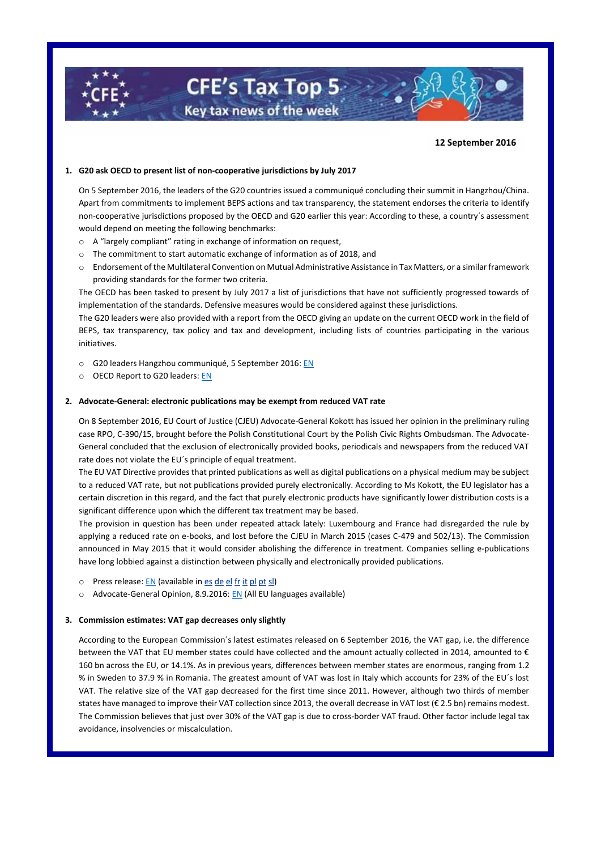# **12 September 2016**

# **1. G20 ask OECD to present list of non-cooperative jurisdictions by July 2017**

On 5 September 2016, the leaders of the G20 countries issued a communiqué concluding their summit in Hangzhou/China. Apart from commitments to implement BEPS actions and tax transparency, the statement endorses the criteria to identify non-cooperative jurisdictions proposed by the OECD and G20 earlier this year: According to these, a country´s assessment would depend on meeting the following benchmarks:

**CFE's Tax Top 5-**

Key tax news of the week

- o A "largely compliant" rating in exchange of information on request,
- o The commitment to start automatic exchange of information as of 2018, and
- o Endorsement of the Multilateral Convention on Mutual Administrative Assistance in Tax Matters, or a similar framework providing standards for the former two criteria.

The OECD has been tasked to present by July 2017 a list of jurisdictions that have not sufficiently progressed towards of implementation of the standards. Defensive measures would be considered against these jurisdictions.

The G20 leaders were also provided with a report from the OECD giving an update on the current OECD work in the field of BEPS, tax transparency, tax policy and tax and development, including lists of countries participating in the various initiatives.

- o G20 leaders Hangzhou communiqué, 5 September 2016: [EN](http://www.g20.org/English/Documents/Current/201609/t20160906_3395.html)
- o OECD Report to G20 leaders[: EN](http://www.oecd.org/tax/oecd-secretary-general-tax-report-g20-leaders-september-2016.pdf)

#### **2. Advocate-General: electronic publications may be exempt from reduced VAT rate**

On 8 September 2016, EU Court of Justice (CJEU) Advocate-General Kokott has issued her opinion in the preliminary ruling case RPO, C-390/15, brought before the Polish Constitutional Court by the Polish Civic Rights Ombudsman. The Advocate-General concluded that the exclusion of electronically provided books, periodicals and newspapers from the reduced VAT rate does not violate the EU´s principle of equal treatment.

The EU VAT Directive provides that printed publications as well as digital publications on a physical medium may be subject to a reduced VAT rate, but not publications provided purely electronically. According to Ms Kokott, the EU legislator has a certain discretion in this regard, and the fact that purely electronic products have significantly lower distribution costs is a significant difference upon which the different tax treatment may be based.

The provision in question has been under repeated attack lately: Luxembourg and France had disregarded the rule by applying a reduced rate on e-books, and lost before the CJEU in March 2015 (cases C-479 and 502/13). The Commission announced in May 2015 that it would consider abolishing the difference in treatment. Companies selling e-publications have long lobbied against a distinction between physically and electronically provided publications.

- o Press release[: EN](http://curia.europa.eu/jcms/upload/docs/application/pdf/2016-09/cp160091en.pdf) (available i[n es](http://curia.europa.eu/jcms/jcms/p1_220666/en/) [de](http://curia.europa.eu/jcms/jcms/p1_220665/en/) [el](http://curia.europa.eu/jcms/jcms/p1_220667/en/) [fr](http://curia.europa.eu/jcms/jcms/p1_220663/en/) [it](http://curia.europa.eu/jcms/jcms/p1_220668/en/) [pl](http://curia.europa.eu/jcms/jcms/p1_220670/en/) [pt](http://curia.europa.eu/jcms/jcms/p1_220669/en/) [sl\)](http://curia.europa.eu/jcms/jcms/p1_220671/en/)
- o Advocate-General Opinion, 8.9.2016: [EN](http://curia.europa.eu/juris/document/document.jsf?text=&docid=183141&pageIndex=0&doclang=EN&mode=lst&dir=&occ=first&part=1&cid=190900) (All EU languages available)

### **3. Commission estimates: VAT gap decreases only slightly**

According to the European Commission´s latest estimates released on 6 September 2016, the VAT gap, i.e. the difference between the VAT that EU member states could have collected and the amount actually collected in 2014, amounted to € 160 bn across the EU, or 14.1%. As in previous years, differences between member states are enormous, ranging from 1.2 % in Sweden to 37.9 % in Romania. The greatest amount of VAT was lost in Italy which accounts for 23% of the EU´s lost VAT. The relative size of the VAT gap decreased for the first time since 2011. However, although two thirds of member states have managed to improve their VAT collection since 2013, the overall decrease in VAT lost (€ 2.5 bn) remains modest. The Commission believes that just over 30% of the VAT gap is due to cross-border VAT fraud. Other factor include legal tax avoidance, insolvencies or miscalculation.